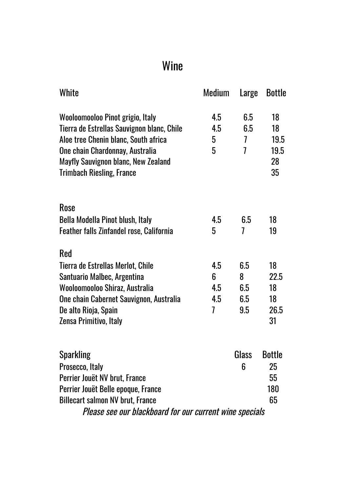## Wine

| White                                                                                                                                                                                                                                | Medium                      | Large                                          | <b>Bottle</b>                          |
|--------------------------------------------------------------------------------------------------------------------------------------------------------------------------------------------------------------------------------------|-----------------------------|------------------------------------------------|----------------------------------------|
| Wooloomooloo Pinot grigio, Italy<br>Tierra de Estrellas Sauvignon blanc, Chile<br>Aloe tree Chenin blanc, South africa<br>One chain Chardonnay, Australia<br>Mayfly Sauvignon blanc, New Zealand<br><b>Trimbach Riesling, France</b> | 4.5<br>4.5<br>5<br>5        | 6.5<br>6.5<br>$\overline{1}$<br>$\overline{1}$ | 18<br>18<br>19.5<br>19.5<br>28<br>35   |
| Rose<br>Bella Modella Pinot blush, Italy<br>Feather falls Zinfandel rose, California                                                                                                                                                 | 4.5<br>5                    | 6.5<br>7                                       | 18<br>19                               |
| <b>Red</b><br>Tierra de Estrellas Merlot, Chile<br>Santuario Malbec, Argentina<br>Wooloomooloo Shiraz, Australia<br>One chain Cabernet Sauvignon, Australia<br>De alto Rioja, Spain<br>Zensa Primitivo, Italy                        | 4.5<br>6<br>4.5<br>4.5<br>7 | 6.5<br>8<br>6.5<br>6.5<br>9.5                  | 18<br>22.5<br>18<br>18<br>26.5<br>31   |
| <b>Sparkling</b><br>Prosecco, Italy<br>Perrier Jouët NV brut, France<br>Perrier Jouët Belle epoque, France<br><b>Billecart salmon NV brut, France</b><br>Please see our blackboard for our current wine specials                     |                             | Glass<br>6                                     | <b>Bottle</b><br>25<br>55<br>180<br>65 |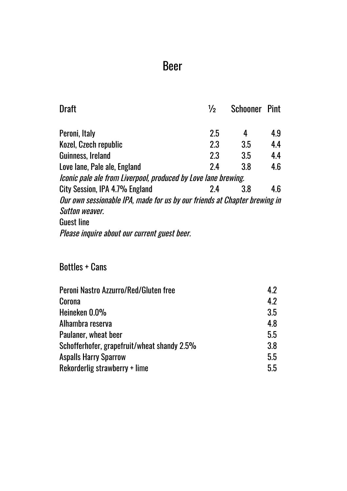### Beer

| <b>Draft</b>                                                              | 1/2 | <b>Schooner Pint</b> |     |
|---------------------------------------------------------------------------|-----|----------------------|-----|
| Peroni, Italy                                                             | 2.5 | 4                    | 4.9 |
| Kozel, Czech republic                                                     | 2.3 | 3.5                  | 4.4 |
| Guinness, Ireland                                                         | 2.3 | 3.5                  | 4.4 |
| Love lane, Pale ale, England                                              | 24  | 3.8                  | 4.6 |
| Iconic pale ale from Liverpool, produced by Love lane brewing.            |     |                      |     |
| City Session, IPA 4.7% England                                            | 24  | 3.8                  | 4.6 |
| Our own sessionable IPA, made for us by our friends at Chapter brewing in |     |                      |     |
| <b>Sutton weaver.</b>                                                     |     |                      |     |
| <b>Guest line</b>                                                         |     |                      |     |
| Please inquire about our current guest beer.                              |     |                      |     |

#### Bottles + Cans

| Peroni Nastro Azzurro/Red/Gluten free       | 42  |
|---------------------------------------------|-----|
| Corona                                      | 42  |
| Heineken 0.0%                               | 3.5 |
| Alhambra reserva                            | 48  |
| Paulaner, wheat beer                        | 5.5 |
| Schofferhofer, grapefruit/wheat shandy 2.5% | 3.8 |
| <b>Aspalls Harry Sparrow</b>                | 5.5 |
| Rekorderlig strawberry + lime               | 5.5 |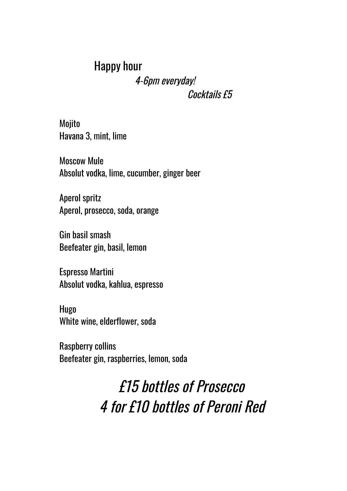### Happy hour 4-6pm everyday! Cocktails  $f5$

Mojito Havana 3, mint, lime

Moscow Mule Absolut vodka, lime, cucumber, ginger beer

Aperol spritz Aperol, prosecco, soda, orange

Gin basil smash Beefeater gin, basil, lemon

Espresso Martini Absolut vodka, kahlua, espresso

Hugo White wine, elderflower, soda

Raspberry collins Beefeater gin, raspberries, lemon, soda

# £15 bottles of Prosecco 4 for £10 bottles of Peroni Red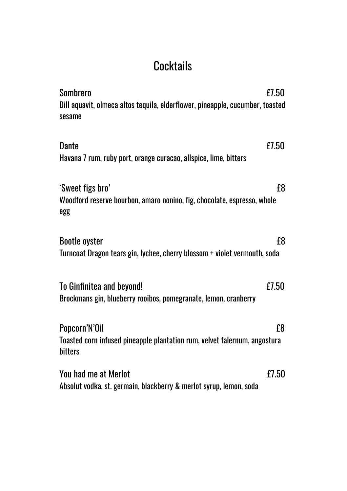## **Cocktails**

| <b>Sombrero</b>                                                                         | £7.50 |
|-----------------------------------------------------------------------------------------|-------|
| Dill aquavit, olmeca altos tequila, elderflower, pineapple, cucumber, toasted<br>sesame |       |
| <b>Dante</b>                                                                            | £7.50 |
| Havana 7 rum, ruby port, orange curacao, allspice, lime, bitters                        |       |
| 'Sweet figs bro'                                                                        | £8    |
| Woodford reserve bourbon, amaro nonino, fig, chocolate, espresso, whole<br>egg          |       |
| <b>Bootle oyster</b>                                                                    | £8    |
| Turncoat Dragon tears gin, lychee, cherry blossom + violet vermouth, soda               |       |
| To Ginfinitea and beyond!                                                               | £7.50 |
| Brockmans gin, blueberry rooibos, pomegranate, lemon, cranberry                         |       |
| Popcorn'N'Oil                                                                           | £8    |
| Toasted corn infused pineapple plantation rum, velvet falernum, angostura<br>bitters    |       |
| You had me at Merlot                                                                    | £7.50 |
| Absolut vodka, st. germain, blackberry & merlot syrup, lemon, soda                      |       |